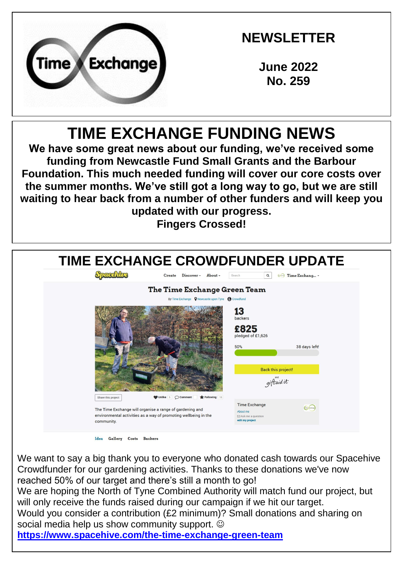

# **NEWSLETTER**

**June 2022 No. 259**

# **TIME EXCHANGE FUNDING NEWS**

**We have some great news about our funding, we've received some funding from Newcastle Fund Small Grants and the Barbour Foundation. This much needed funding will cover our core costs over the summer months. We've still got a long way to go, but we are still waiting to hear back from a number of other funders and will keep you updated with our progress. Fingers Crossed!**



We want to say a big thank you to everyone who donated cash towards our Spacehive Crowdfunder for our gardening activities. Thanks to these donations we've now reached 50% of our target and there's still a month to go! We are hoping the North of Tyne Combined Authority will match fund our project, but will only receive the funds raised during our campaign if we hit our target. Would you consider a contribution (£2 minimum)? Small donations and sharing on social media help us show community support.  $\odot$ **<https://www.spacehive.com/the-time-exchange-green-team>**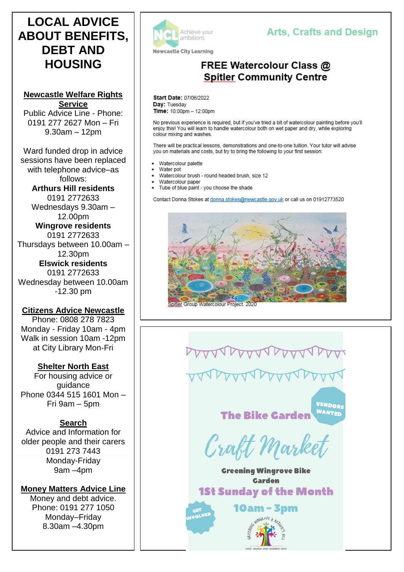## **LOCAL ADVICE ABOUT BENEFITS, DEBT AND HOUSING**

**Newcastle Welfare Rights Service** Public Advice Line - Phone: 0191 277 2627 Mon – Fri 9.30am – 12pm

Ward funded drop in advice sessions have been replaced with telephone advice–as follows: **Arthurs Hill residents**  0191 2772633 Wednesdays 9.30am – 12.00pm **Wingrove residents**  0191 2772633 Thursdays between 10.00am – 12.30pm **Elswick residents**  0191 2772633 Wednesday between 10.00am -12.30 pm

**Citizens Advice Newcastle** Phone: 0808 278 7823

Monday - Friday 10am - 4pm Walk in session 10am -12pm at City Library Mon-Fri

### **Shelter North East**

For housing advice or guidance Phone 0344 515 1601 Mon – Fri 9am – 5pm

### **Search**

Advice and Information for older people and their carers 0191 273 7443 Monday-Friday 9am –4pm

**Money Matters Advice Line**

Money and debt advice. Phone: 0191 277 1050 Monday–Friday 8.30am –4.30pm



### **Arts, Crafts and Design**

### **FREE Watercolour Class @ Spitler Community Centre**

Start Date: 07/06/2022 Day: Tuesday Time: 10:00pm - 12:00pm

No previous experience is required, but if you've tried a bit of watercolour painting before you'll enjoy this! You will learn to handle watercolour both on wet paper and dry, while exploring colour mixing and washes.

There will be practical lessons, demonstrations and one-to-one tuition. Your tutor will advise you on materials and costs, but try to bring the following to your first session:

- Watercolour palette
- Water pot
- Watercolour brush round headed brush, size 12
- Watercolour paper Tube of blue paint - you choose the shade

Contact Donna Stokes at donna.stokes@newcastle.gov.uk or call us on 01912773520



Spitler Group Watercolour Project. 202

**The Bike Garden** 

VENDOR **WANTED** 

Craft Market

**Greening Wingrove Bike Garden 1St Sunday of the Month** 

**10am - 3pm** 

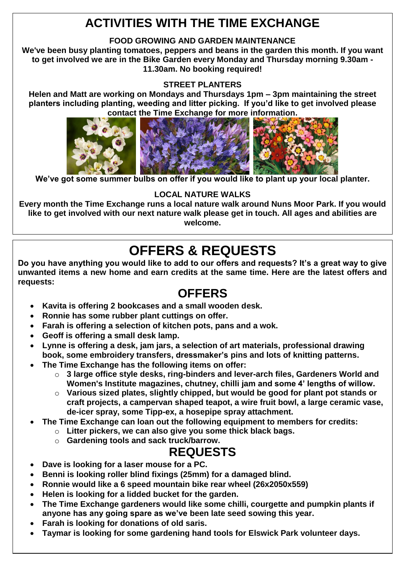# **ACTIVITIES WITH THE TIME EXCHANGE**

#### **FOOD GROWING AND GARDEN MAINTENANCE**

**We've been busy planting tomatoes, peppers and beans in the garden this month. If you want to get involved we are in the Bike Garden every Monday and Thursday morning 9.30am - 11.30am. No booking required!**

#### **STREET PLANTERS**

**Helen and Matt are working on Mondays and Thursdays 1pm – 3pm maintaining the street planters including planting, weeding and litter picking. If you'd like to get involved please contact the Time Exchange for more information.**



**We've got some summer bulbs on offer if you would like to plant up your local planter.**

#### **LOCAL NATURE WALKS**

**Every month the Time Exchange runs a local nature walk around Nuns Moor Park. If you would like to get involved with our next nature walk please get in touch. All ages and abilities are welcome.**

# **OFFERS & REQUESTS**

**Do you have anything you would like to add to our offers and requests? It's a great way to give unwanted items a new home and earn credits at the same time. Here are the latest offers and requests:**

### **OFFERS**

- **Kavita is offering 2 bookcases and a small wooden desk.**
- **Ronnie has some rubber plant cuttings on offer.**
- **Farah is offering a selection of kitchen pots, pans and a wok.**
- **Geoff is offering a small desk lamp.**
- **Lynne is offering a desk, jam jars, a selection of art materials, professional drawing book, some embroidery transfers, dressmaker's pins and lots of knitting patterns.**
- **The Time Exchange has the following items on offer:**
	- o **3 large office style desks, ring-binders and lever-arch files, Gardeners World and Women's Institute magazines, chutney, chilli jam and some 4' lengths of willow.**
	- o **Various sized plates, slightly chipped, but would be good for plant pot stands or craft projects, a campervan shaped teapot, a wire fruit bowl, a large ceramic vase, de-icer spray, some Tipp-ex, a hosepipe spray attachment.**
- **The Time Exchange can loan out the following equipment to members for credits:**
	- o **Litter pickers, we can also give you some thick black bags.**
	- o **Gardening tools and sack truck/barrow.**

### **REQUESTS**

- **Dave is looking for a laser mouse for a PC.**
- **Benni is looking roller blind fixings (25mm) for a damaged blind.**
- **Ronnie would like a 6 speed mountain bike rear wheel (26x2050x559)**
- **Helen is looking for a lidded bucket for the garden.**
- **The Time Exchange gardeners would like some chilli, courgette and pumpkin plants if anyone has any going spare as we've been late seed sowing this year.**
- **Farah is looking for donations of old saris.**
- **Taymar is looking for some gardening hand tools for Elswick Park volunteer days.**